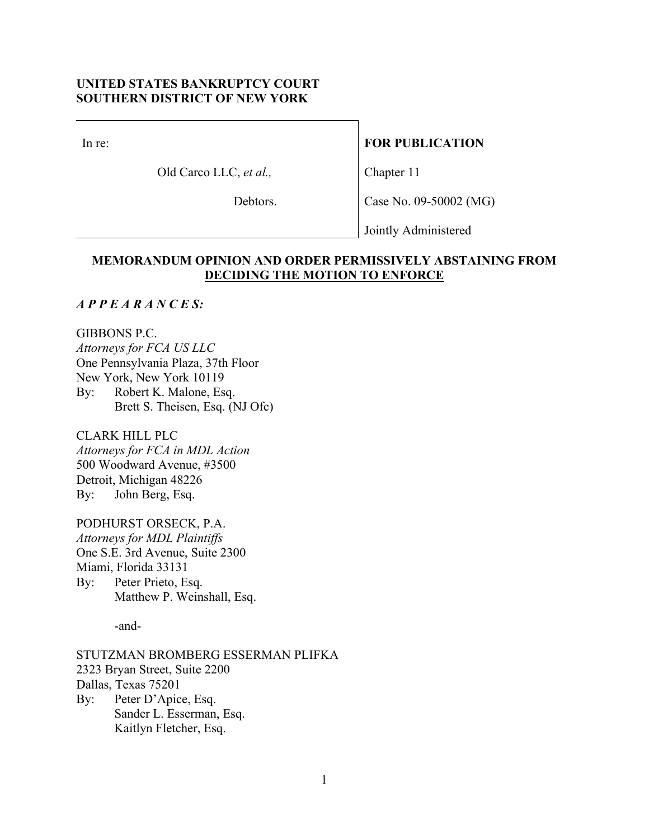# **UNITED STATES BANKRUPTCY COURT SOUTHERN DISTRICT OF NEW YORK**

In re:

Old Carco LLC, *et al.,*

# **FOR PUBLICATION**

Chapter 11

Debtors.

Case No. 09-50002 (MG)

Jointly Administered

# **MEMORANDUM OPINION AND ORDER PERMISSIVELY ABSTAINING FROM DECIDING THE MOTION TO ENFORCE**

# *A P P E A R A N C E S:*

GIBBONS P.C. *Attorneys for FCA US LLC*  One Pennsylvania Plaza, 37th Floor New York, New York 10119 By: Robert K. Malone, Esq. Brett S. Theisen, Esq. (NJ Ofc)

CLARK HILL PLC *Attorneys for FCA in MDL Action*  500 Woodward Avenue, #3500 Detroit, Michigan 48226 By: John Berg, Esq.

PODHURST ORSECK, P.A. *Attorneys for MDL Plaintiffs*  One S.E. 3rd Avenue, Suite 2300 Miami, Florida 33131 By: Peter Prieto, Esq. Matthew P. Weinshall, Esq.

-and-

STUTZMAN BROMBERG ESSERMAN PLIFKA 2323 Bryan Street, Suite 2200 Dallas, Texas 75201 By: Peter D'Apice, Esq. Sander L. Esserman, Esq. Kaitlyn Fletcher, Esq.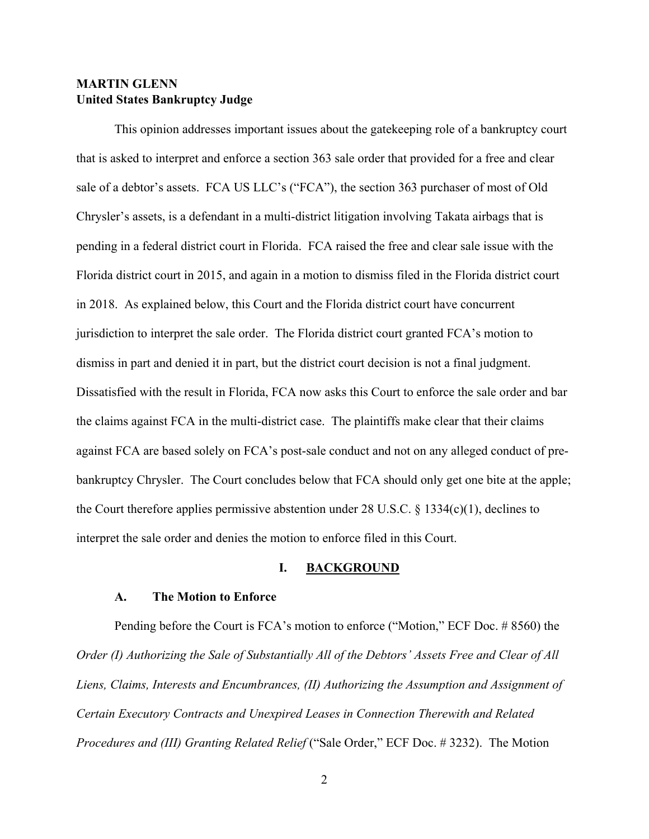# **MARTIN GLENN United States Bankruptcy Judge**

This opinion addresses important issues about the gatekeeping role of a bankruptcy court that is asked to interpret and enforce a section 363 sale order that provided for a free and clear sale of a debtor's assets. FCA US LLC's ("FCA"), the section 363 purchaser of most of Old Chrysler's assets, is a defendant in a multi-district litigation involving Takata airbags that is pending in a federal district court in Florida. FCA raised the free and clear sale issue with the Florida district court in 2015, and again in a motion to dismiss filed in the Florida district court in 2018. As explained below, this Court and the Florida district court have concurrent jurisdiction to interpret the sale order. The Florida district court granted FCA's motion to dismiss in part and denied it in part, but the district court decision is not a final judgment. Dissatisfied with the result in Florida, FCA now asks this Court to enforce the sale order and bar the claims against FCA in the multi-district case. The plaintiffs make clear that their claims against FCA are based solely on FCA's post-sale conduct and not on any alleged conduct of prebankruptcy Chrysler. The Court concludes below that FCA should only get one bite at the apple; the Court therefore applies permissive abstention under 28 U.S.C. § 1334(c)(1), declines to interpret the sale order and denies the motion to enforce filed in this Court.

# **I. BACKGROUND**

#### **A. The Motion to Enforce**

Pending before the Court is FCA's motion to enforce ("Motion," ECF Doc. # 8560) the *Order (I) Authorizing the Sale of Substantially All of the Debtors' Assets Free and Clear of All Liens, Claims, Interests and Encumbrances, (II) Authorizing the Assumption and Assignment of Certain Executory Contracts and Unexpired Leases in Connection Therewith and Related Procedures and (III) Granting Related Relief* ("Sale Order," ECF Doc. # 3232). The Motion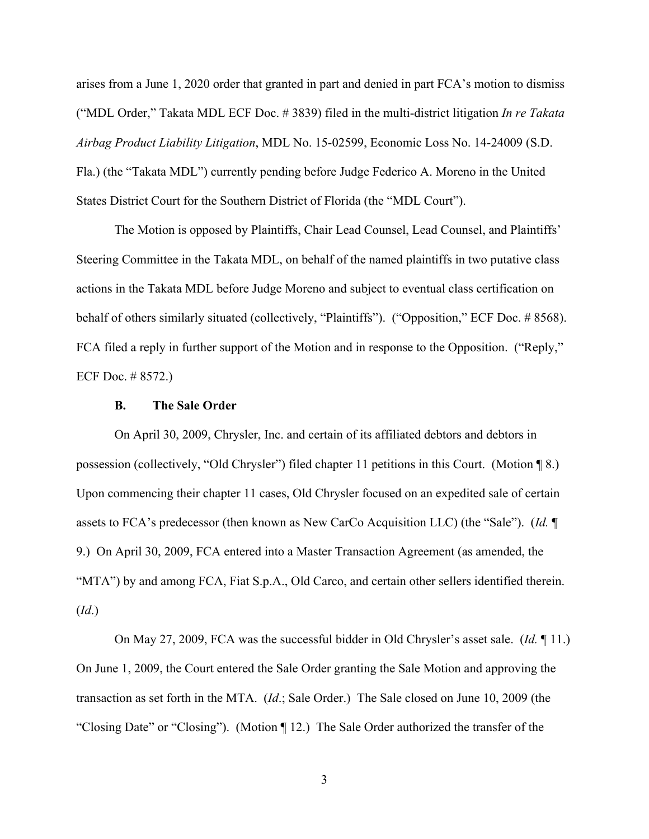arises from a June 1, 2020 order that granted in part and denied in part FCA's motion to dismiss ("MDL Order," Takata MDL ECF Doc. # 3839) filed in the multi-district litigation *In re Takata Airbag Product Liability Litigation*, MDL No. 15-02599, Economic Loss No. 14-24009 (S.D. Fla.) (the "Takata MDL") currently pending before Judge Federico A. Moreno in the United States District Court for the Southern District of Florida (the "MDL Court").

The Motion is opposed by Plaintiffs, Chair Lead Counsel, Lead Counsel, and Plaintiffs' Steering Committee in the Takata MDL, on behalf of the named plaintiffs in two putative class actions in the Takata MDL before Judge Moreno and subject to eventual class certification on behalf of others similarly situated (collectively, "Plaintiffs"). ("Opposition," ECF Doc. # 8568). FCA filed a reply in further support of the Motion and in response to the Opposition. ("Reply," ECF Doc. # 8572.)

### **B. The Sale Order**

On April 30, 2009, Chrysler, Inc. and certain of its affiliated debtors and debtors in possession (collectively, "Old Chrysler") filed chapter 11 petitions in this Court. (Motion ¶ 8.) Upon commencing their chapter 11 cases, Old Chrysler focused on an expedited sale of certain assets to FCA's predecessor (then known as New CarCo Acquisition LLC) (the "Sale"). (*Id.* ¶ 9.) On April 30, 2009, FCA entered into a Master Transaction Agreement (as amended, the "MTA") by and among FCA, Fiat S.p.A., Old Carco, and certain other sellers identified therein. (*Id*.)

On May 27, 2009, FCA was the successful bidder in Old Chrysler's asset sale. (*Id.* ¶ 11.) On June 1, 2009, the Court entered the Sale Order granting the Sale Motion and approving the transaction as set forth in the MTA. (*Id*.; Sale Order.) The Sale closed on June 10, 2009 (the "Closing Date" or "Closing"). (Motion ¶ 12.) The Sale Order authorized the transfer of the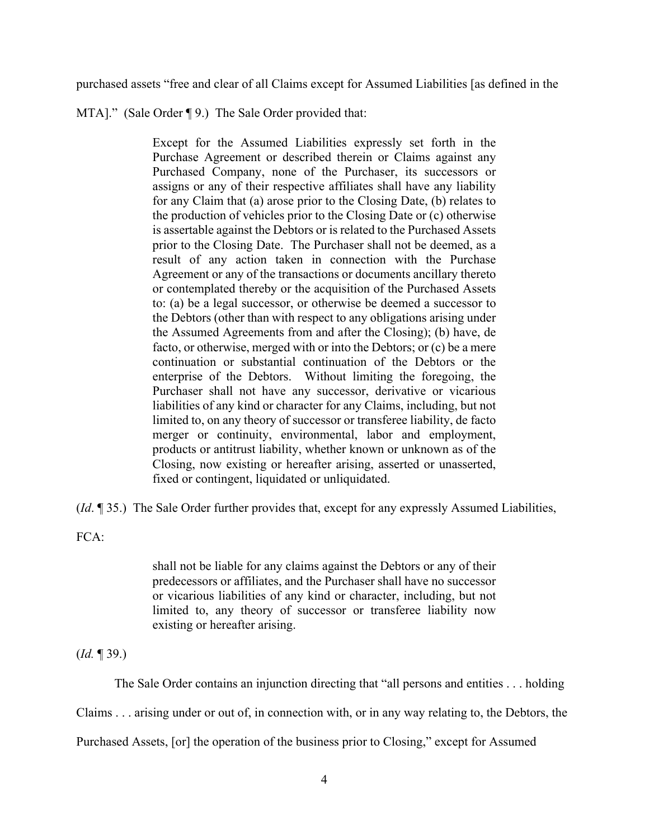purchased assets "free and clear of all Claims except for Assumed Liabilities [as defined in the

MTA]." (Sale Order ¶ 9.) The Sale Order provided that:

Except for the Assumed Liabilities expressly set forth in the Purchase Agreement or described therein or Claims against any Purchased Company, none of the Purchaser, its successors or assigns or any of their respective affiliates shall have any liability for any Claim that (a) arose prior to the Closing Date, (b) relates to the production of vehicles prior to the Closing Date or (c) otherwise is assertable against the Debtors or is related to the Purchased Assets prior to the Closing Date. The Purchaser shall not be deemed, as a result of any action taken in connection with the Purchase Agreement or any of the transactions or documents ancillary thereto or contemplated thereby or the acquisition of the Purchased Assets to: (a) be a legal successor, or otherwise be deemed a successor to the Debtors (other than with respect to any obligations arising under the Assumed Agreements from and after the Closing); (b) have, de facto, or otherwise, merged with or into the Debtors; or (c) be a mere continuation or substantial continuation of the Debtors or the enterprise of the Debtors. Without limiting the foregoing, the Purchaser shall not have any successor, derivative or vicarious liabilities of any kind or character for any Claims, including, but not limited to, on any theory of successor or transferee liability, de facto merger or continuity, environmental, labor and employment, products or antitrust liability, whether known or unknown as of the Closing, now existing or hereafter arising, asserted or unasserted, fixed or contingent, liquidated or unliquidated.

(*Id*. ¶ 35.) The Sale Order further provides that, except for any expressly Assumed Liabilities,

FCA:

shall not be liable for any claims against the Debtors or any of their predecessors or affiliates, and the Purchaser shall have no successor or vicarious liabilities of any kind or character, including, but not limited to, any theory of successor or transferee liability now existing or hereafter arising.

(*Id.* ¶ 39.)

The Sale Order contains an injunction directing that "all persons and entities . . . holding

Claims . . . arising under or out of, in connection with, or in any way relating to, the Debtors, the

Purchased Assets, [or] the operation of the business prior to Closing," except for Assumed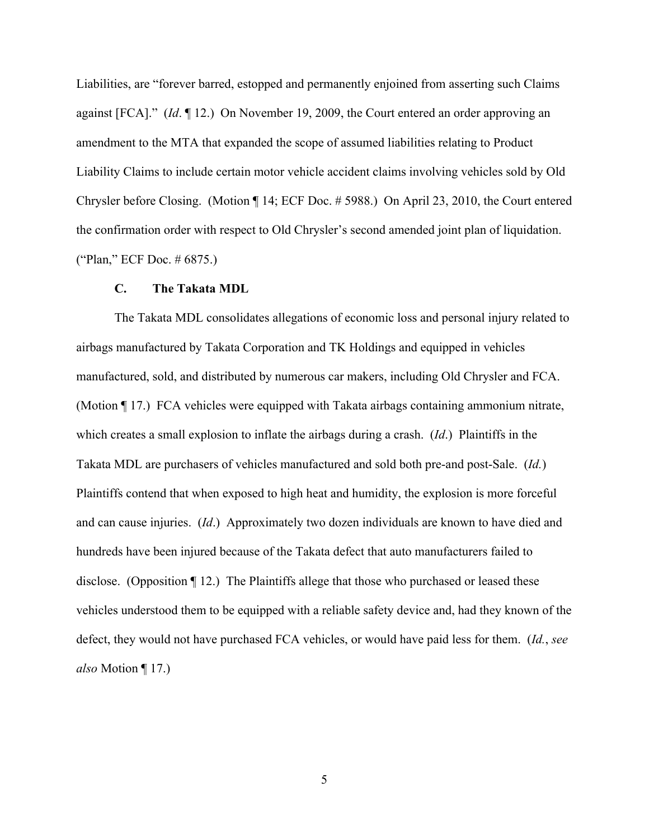Liabilities, are "forever barred, estopped and permanently enjoined from asserting such Claims against [FCA]." (*Id*. ¶ 12.) On November 19, 2009, the Court entered an order approving an amendment to the MTA that expanded the scope of assumed liabilities relating to Product Liability Claims to include certain motor vehicle accident claims involving vehicles sold by Old Chrysler before Closing. (Motion ¶ 14; ECF Doc. # 5988.) On April 23, 2010, the Court entered the confirmation order with respect to Old Chrysler's second amended joint plan of liquidation. ("Plan," ECF Doc. # 6875.)

#### **C. The Takata MDL**

The Takata MDL consolidates allegations of economic loss and personal injury related to airbags manufactured by Takata Corporation and TK Holdings and equipped in vehicles manufactured, sold, and distributed by numerous car makers, including Old Chrysler and FCA. (Motion ¶ 17.) FCA vehicles were equipped with Takata airbags containing ammonium nitrate, which creates a small explosion to inflate the airbags during a crash. (*Id*.) Plaintiffs in the Takata MDL are purchasers of vehicles manufactured and sold both pre-and post-Sale. (*Id.*) Plaintiffs contend that when exposed to high heat and humidity, the explosion is more forceful and can cause injuries. (*Id*.) Approximately two dozen individuals are known to have died and hundreds have been injured because of the Takata defect that auto manufacturers failed to disclose. (Opposition ¶ 12.) The Plaintiffs allege that those who purchased or leased these vehicles understood them to be equipped with a reliable safety device and, had they known of the defect, they would not have purchased FCA vehicles, or would have paid less for them. (*Id.*, *see also* Motion ¶ 17.)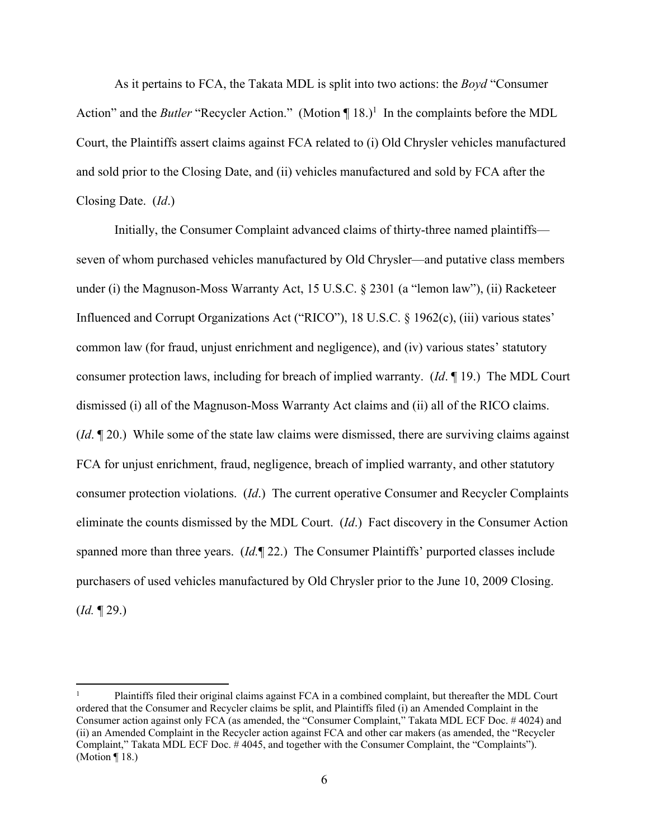As it pertains to FCA, the Takata MDL is split into two actions: the *Boyd* "Consumer Action" and the *Butler* "Recycler Action." (Motion ¶ 18.)<sup>1</sup> In the complaints before the MDL Court, the Plaintiffs assert claims against FCA related to (i) Old Chrysler vehicles manufactured and sold prior to the Closing Date, and (ii) vehicles manufactured and sold by FCA after the Closing Date. (*Id*.)

Initially, the Consumer Complaint advanced claims of thirty-three named plaintiffs seven of whom purchased vehicles manufactured by Old Chrysler—and putative class members under (i) the Magnuson-Moss Warranty Act, 15 U.S.C. § 2301 (a "lemon law"), (ii) Racketeer Influenced and Corrupt Organizations Act ("RICO"), 18 U.S.C. § 1962(c), (iii) various states' common law (for fraud, unjust enrichment and negligence), and (iv) various states' statutory consumer protection laws, including for breach of implied warranty. (*Id*. ¶ 19.) The MDL Court dismissed (i) all of the Magnuson-Moss Warranty Act claims and (ii) all of the RICO claims. (*Id*. ¶ 20.) While some of the state law claims were dismissed, there are surviving claims against FCA for unjust enrichment, fraud, negligence, breach of implied warranty, and other statutory consumer protection violations. (*Id*.) The current operative Consumer and Recycler Complaints eliminate the counts dismissed by the MDL Court. (*Id*.) Fact discovery in the Consumer Action spanned more than three years. (*Id.*¶ 22.) The Consumer Plaintiffs' purported classes include purchasers of used vehicles manufactured by Old Chrysler prior to the June 10, 2009 Closing. (*Id.* ¶ 29.)

<sup>1</sup> Plaintiffs filed their original claims against FCA in a combined complaint, but thereafter the MDL Court ordered that the Consumer and Recycler claims be split, and Plaintiffs filed (i) an Amended Complaint in the Consumer action against only FCA (as amended, the "Consumer Complaint," Takata MDL ECF Doc. # 4024) and (ii) an Amended Complaint in the Recycler action against FCA and other car makers (as amended, the "Recycler Complaint," Takata MDL ECF Doc. # 4045, and together with the Consumer Complaint, the "Complaints"). (Motion ¶ 18.)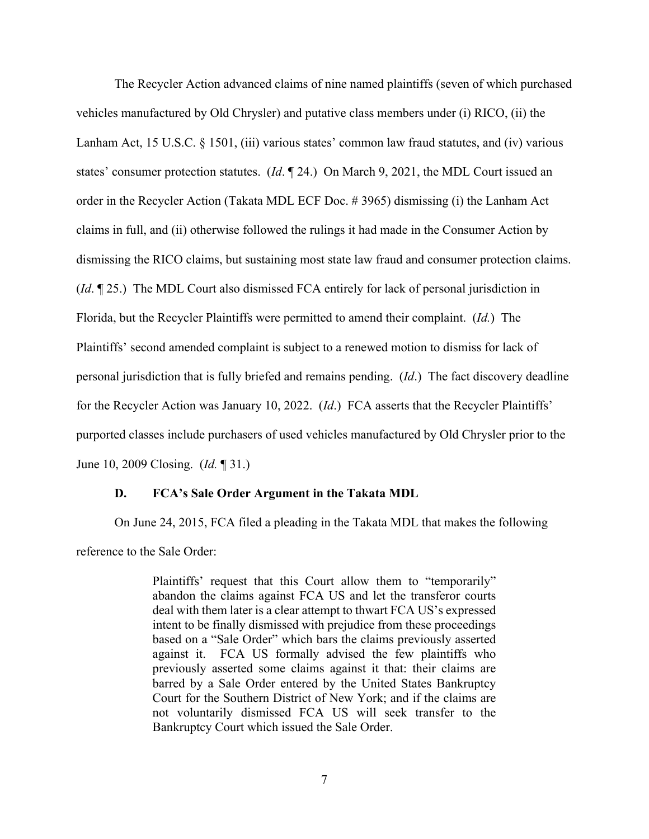The Recycler Action advanced claims of nine named plaintiffs (seven of which purchased vehicles manufactured by Old Chrysler) and putative class members under (i) RICO, (ii) the Lanham Act, 15 U.S.C. § 1501, (iii) various states' common law fraud statutes, and (iv) various states' consumer protection statutes. (*Id*. ¶ 24.) On March 9, 2021, the MDL Court issued an order in the Recycler Action (Takata MDL ECF Doc. # 3965) dismissing (i) the Lanham Act claims in full, and (ii) otherwise followed the rulings it had made in the Consumer Action by dismissing the RICO claims, but sustaining most state law fraud and consumer protection claims. (*Id*. ¶ 25.) The MDL Court also dismissed FCA entirely for lack of personal jurisdiction in Florida, but the Recycler Plaintiffs were permitted to amend their complaint. (*Id.*) The Plaintiffs' second amended complaint is subject to a renewed motion to dismiss for lack of personal jurisdiction that is fully briefed and remains pending. (*Id*.) The fact discovery deadline for the Recycler Action was January 10, 2022. (*Id*.) FCA asserts that the Recycler Plaintiffs' purported classes include purchasers of used vehicles manufactured by Old Chrysler prior to the June 10, 2009 Closing. (*Id.* ¶ 31.)

#### **D. FCA's Sale Order Argument in the Takata MDL**

On June 24, 2015, FCA filed a pleading in the Takata MDL that makes the following reference to the Sale Order:

> Plaintiffs' request that this Court allow them to "temporarily" abandon the claims against FCA US and let the transferor courts deal with them later is a clear attempt to thwart FCA US's expressed intent to be finally dismissed with prejudice from these proceedings based on a "Sale Order" which bars the claims previously asserted against it. FCA US formally advised the few plaintiffs who previously asserted some claims against it that: their claims are barred by a Sale Order entered by the United States Bankruptcy Court for the Southern District of New York; and if the claims are not voluntarily dismissed FCA US will seek transfer to the Bankruptcy Court which issued the Sale Order.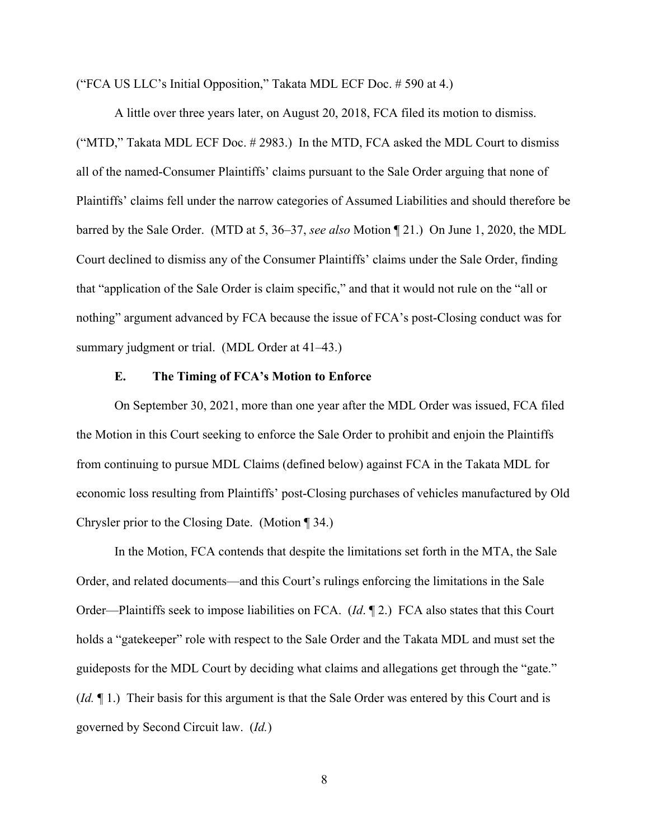("FCA US LLC's Initial Opposition," Takata MDL ECF Doc. # 590 at 4.)

A little over three years later, on August 20, 2018, FCA filed its motion to dismiss. ("MTD," Takata MDL ECF Doc. # 2983.) In the MTD, FCA asked the MDL Court to dismiss all of the named-Consumer Plaintiffs' claims pursuant to the Sale Order arguing that none of Plaintiffs' claims fell under the narrow categories of Assumed Liabilities and should therefore be barred by the Sale Order. (MTD at 5, 36–37, *see also* Motion ¶ 21.) On June 1, 2020, the MDL Court declined to dismiss any of the Consumer Plaintiffs' claims under the Sale Order, finding that "application of the Sale Order is claim specific," and that it would not rule on the "all or nothing" argument advanced by FCA because the issue of FCA's post-Closing conduct was for summary judgment or trial. (MDL Order at 41–43.)

### **E. The Timing of FCA's Motion to Enforce**

On September 30, 2021, more than one year after the MDL Order was issued, FCA filed the Motion in this Court seeking to enforce the Sale Order to prohibit and enjoin the Plaintiffs from continuing to pursue MDL Claims (defined below) against FCA in the Takata MDL for economic loss resulting from Plaintiffs' post-Closing purchases of vehicles manufactured by Old Chrysler prior to the Closing Date. (Motion ¶ 34.)

In the Motion, FCA contends that despite the limitations set forth in the MTA, the Sale Order, and related documents—and this Court's rulings enforcing the limitations in the Sale Order—Plaintiffs seek to impose liabilities on FCA. (*Id*. ¶ 2.) FCA also states that this Court holds a "gatekeeper" role with respect to the Sale Order and the Takata MDL and must set the guideposts for the MDL Court by deciding what claims and allegations get through the "gate." (*Id.* ¶ 1.) Their basis for this argument is that the Sale Order was entered by this Court and is governed by Second Circuit law. (*Id.*)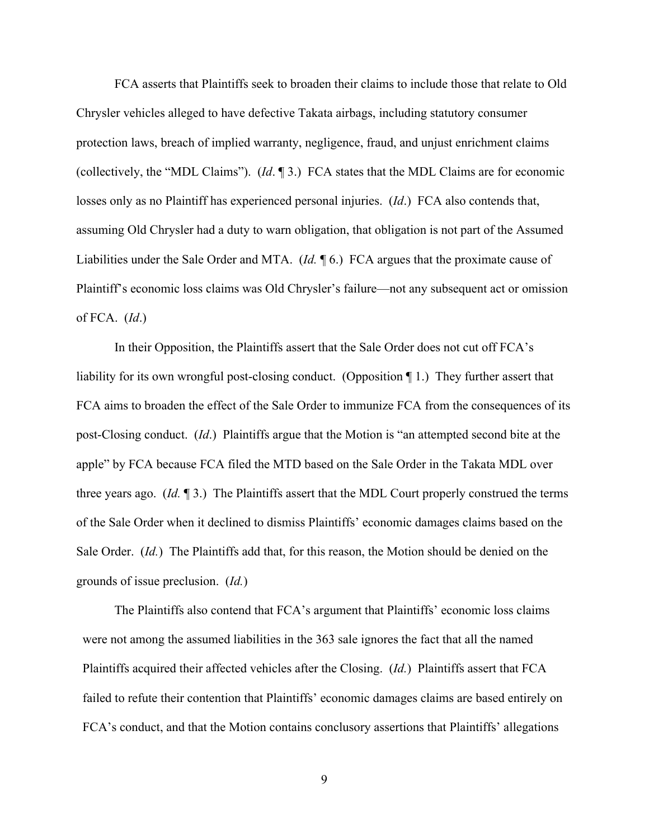FCA asserts that Plaintiffs seek to broaden their claims to include those that relate to Old Chrysler vehicles alleged to have defective Takata airbags, including statutory consumer protection laws, breach of implied warranty, negligence, fraud, and unjust enrichment claims (collectively, the "MDL Claims"). (*Id*. ¶ 3.) FCA states that the MDL Claims are for economic losses only as no Plaintiff has experienced personal injuries. (*Id*.) FCA also contends that, assuming Old Chrysler had a duty to warn obligation, that obligation is not part of the Assumed Liabilities under the Sale Order and MTA. (*Id.* ¶ 6.) FCA argues that the proximate cause of Plaintiff's economic loss claims was Old Chrysler's failure—not any subsequent act or omission of FCA. (*Id*.)

In their Opposition, the Plaintiffs assert that the Sale Order does not cut off FCA's liability for its own wrongful post-closing conduct. (Opposition ¶ 1.) They further assert that FCA aims to broaden the effect of the Sale Order to immunize FCA from the consequences of its post-Closing conduct. (*Id*.) Plaintiffs argue that the Motion is "an attempted second bite at the apple" by FCA because FCA filed the MTD based on the Sale Order in the Takata MDL over three years ago. (*Id.* ¶ 3.) The Plaintiffs assert that the MDL Court properly construed the terms of the Sale Order when it declined to dismiss Plaintiffs' economic damages claims based on the Sale Order. (*Id.*)The Plaintiffs add that, for this reason, the Motion should be denied on the grounds of issue preclusion. (*Id.*)

The Plaintiffs also contend that FCA's argument that Plaintiffs' economic loss claims were not among the assumed liabilities in the 363 sale ignores the fact that all the named Plaintiffs acquired their affected vehicles after the Closing. (*Id.*) Plaintiffs assert that FCA failed to refute their contention that Plaintiffs' economic damages claims are based entirely on FCA's conduct, and that the Motion contains conclusory assertions that Plaintiffs' allegations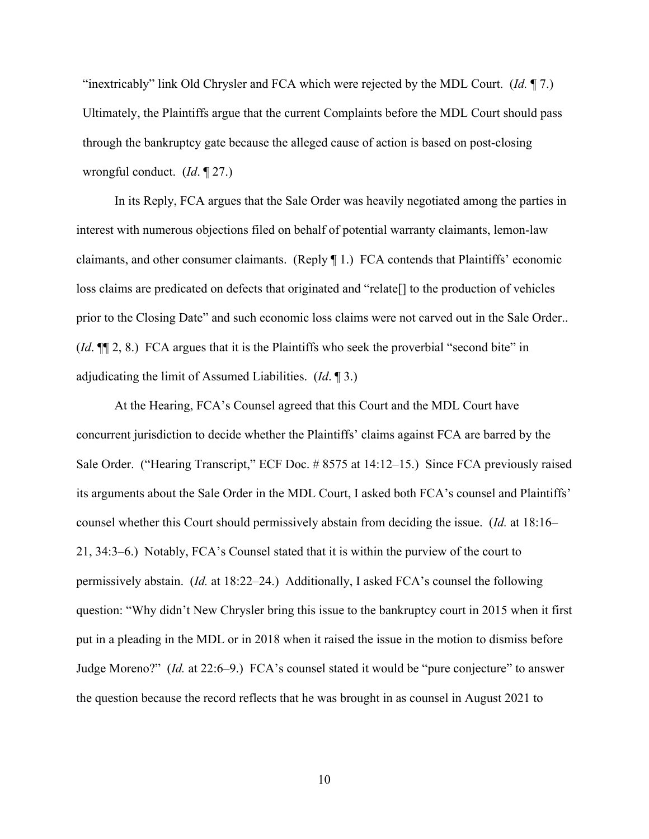"inextricably" link Old Chrysler and FCA which were rejected by the MDL Court. (*Id.* ¶ 7.) Ultimately, the Plaintiffs argue that the current Complaints before the MDL Court should pass through the bankruptcy gate because the alleged cause of action is based on post-closing wrongful conduct. (*Id*. ¶ 27.)

In its Reply, FCA argues that the Sale Order was heavily negotiated among the parties in interest with numerous objections filed on behalf of potential warranty claimants, lemon-law claimants, and other consumer claimants. (Reply ¶ 1.) FCA contends that Plaintiffs' economic loss claims are predicated on defects that originated and "relate[] to the production of vehicles prior to the Closing Date" and such economic loss claims were not carved out in the Sale Order.. (*Id*. ¶¶ 2, 8.) FCA argues that it is the Plaintiffs who seek the proverbial "second bite" in adjudicating the limit of Assumed Liabilities. (*Id*. ¶ 3.)

At the Hearing, FCA's Counsel agreed that this Court and the MDL Court have concurrent jurisdiction to decide whether the Plaintiffs' claims against FCA are barred by the Sale Order. ("Hearing Transcript," ECF Doc. #8575 at 14:12–15.) Since FCA previously raised its arguments about the Sale Order in the MDL Court, I asked both FCA's counsel and Plaintiffs' counsel whether this Court should permissively abstain from deciding the issue. (*Id.* at 18:16– 21, 34:3–6.) Notably, FCA's Counsel stated that it is within the purview of the court to permissively abstain. (*Id.* at 18:22–24.) Additionally, I asked FCA's counsel the following question: "Why didn't New Chrysler bring this issue to the bankruptcy court in 2015 when it first put in a pleading in the MDL or in 2018 when it raised the issue in the motion to dismiss before Judge Moreno?" (*Id.* at 22:6–9.) FCA's counsel stated it would be "pure conjecture" to answer the question because the record reflects that he was brought in as counsel in August 2021 to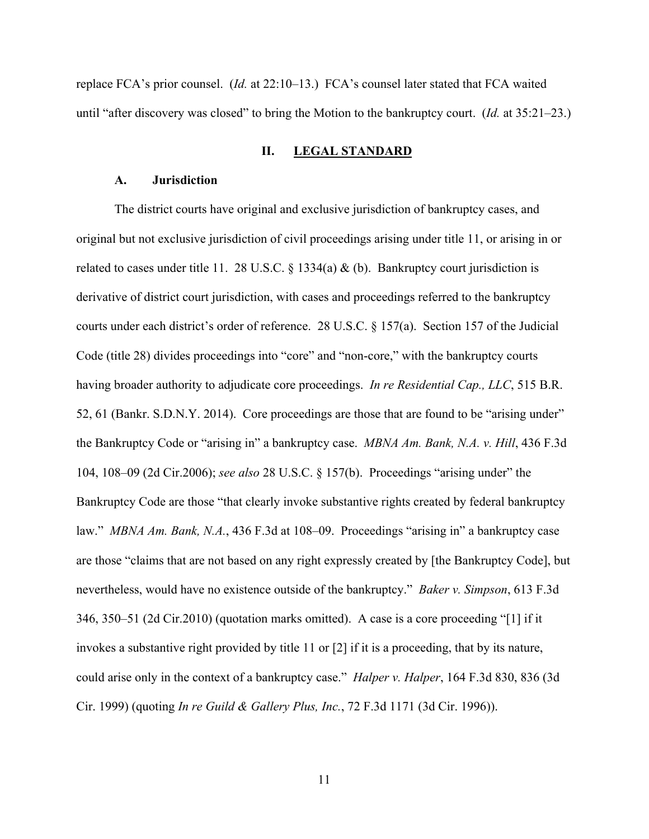replace FCA's prior counsel. (*Id.* at 22:10–13.) FCA's counsel later stated that FCA waited until "after discovery was closed" to bring the Motion to the bankruptcy court. (*Id.* at 35:21–23.)

### **II. LEGAL STANDARD**

#### **A. Jurisdiction**

The district courts have original and exclusive jurisdiction of bankruptcy cases, and original but not exclusive jurisdiction of civil proceedings arising under title 11, or arising in or related to cases under title 11. 28 U.S.C. § 1334(a) & (b). Bankruptcy court jurisdiction is derivative of district court jurisdiction, with cases and proceedings referred to the bankruptcy courts under each district's order of reference. 28 U.S.C. § 157(a). Section 157 of the Judicial Code (title 28) divides proceedings into "core" and "non-core," with the bankruptcy courts having broader authority to adjudicate core proceedings. *In re Residential Cap., LLC*, 515 B.R. 52, 61 (Bankr. S.D.N.Y. 2014). Core proceedings are those that are found to be "arising under" the Bankruptcy Code or "arising in" a bankruptcy case. *MBNA Am. Bank, N.A. v. Hill*, 436 F.3d 104, 108–09 (2d Cir.2006); *see also* 28 U.S.C. § 157(b). Proceedings "arising under" the Bankruptcy Code are those "that clearly invoke substantive rights created by federal bankruptcy law." *MBNA Am. Bank, N.A.*, 436 F.3d at 108–09. Proceedings "arising in" a bankruptcy case are those "claims that are not based on any right expressly created by [the Bankruptcy Code], but nevertheless, would have no existence outside of the bankruptcy." *Baker v. Simpson*, 613 F.3d 346, 350–51 (2d Cir.2010) (quotation marks omitted). A case is a core proceeding "[1] if it invokes a substantive right provided by title 11 or [2] if it is a proceeding, that by its nature, could arise only in the context of a bankruptcy case." *Halper v. Halper*, 164 F.3d 830, 836 (3d Cir. 1999) (quoting *In re Guild & Gallery Plus, Inc.*, 72 F.3d 1171 (3d Cir. 1996)).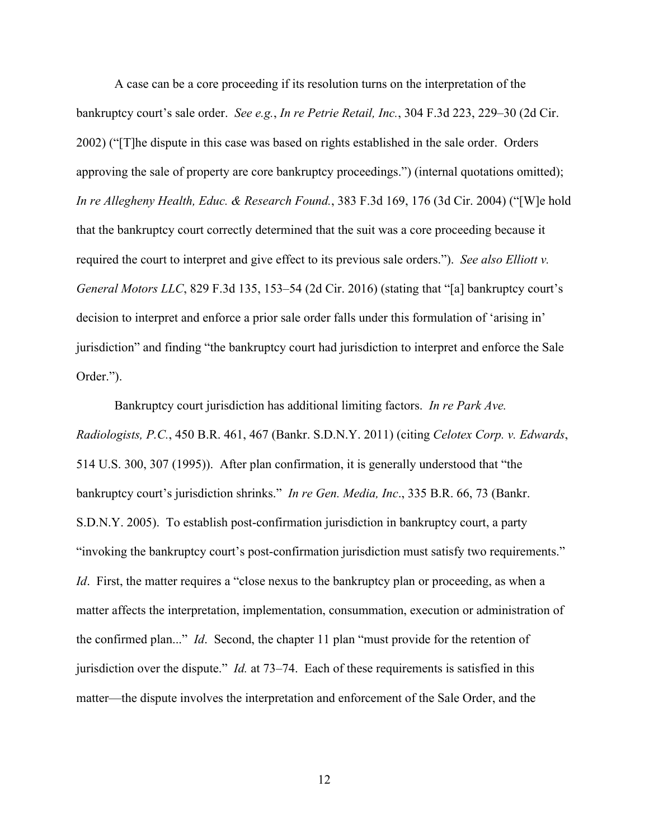A case can be a core proceeding if its resolution turns on the interpretation of the bankruptcy court's sale order. *See e.g.*, *In re Petrie Retail, Inc.*, 304 F.3d 223, 229–30 (2d Cir. 2002) ("[T]he dispute in this case was based on rights established in the sale order. Orders approving the sale of property are core bankruptcy proceedings.") (internal quotations omitted); *In re Allegheny Health, Educ. & Research Found.*, 383 F.3d 169, 176 (3d Cir. 2004) ("[W]e hold that the bankruptcy court correctly determined that the suit was a core proceeding because it required the court to interpret and give effect to its previous sale orders."). *See also Elliott v. General Motors LLC*, 829 F.3d 135, 153–54 (2d Cir. 2016) (stating that "[a] bankruptcy court's decision to interpret and enforce a prior sale order falls under this formulation of 'arising in' jurisdiction" and finding "the bankruptcy court had jurisdiction to interpret and enforce the Sale Order.").

Bankruptcy court jurisdiction has additional limiting factors. *In re Park Ave. Radiologists, P.C.*, 450 B.R. 461, 467 (Bankr. S.D.N.Y. 2011) (citing *Celotex Corp. v. Edwards*, 514 U.S. 300, 307 (1995)). After plan confirmation, it is generally understood that "the bankruptcy court's jurisdiction shrinks." *In re Gen. Media, Inc*., 335 B.R. 66, 73 (Bankr. S.D.N.Y. 2005). To establish post-confirmation jurisdiction in bankruptcy court, a party "invoking the bankruptcy court's post-confirmation jurisdiction must satisfy two requirements." *Id.* First, the matter requires a "close nexus to the bankruptcy plan or proceeding, as when a matter affects the interpretation, implementation, consummation, execution or administration of the confirmed plan..." *Id*. Second, the chapter 11 plan "must provide for the retention of jurisdiction over the dispute." *Id.* at 73–74. Each of these requirements is satisfied in this matter—the dispute involves the interpretation and enforcement of the Sale Order, and the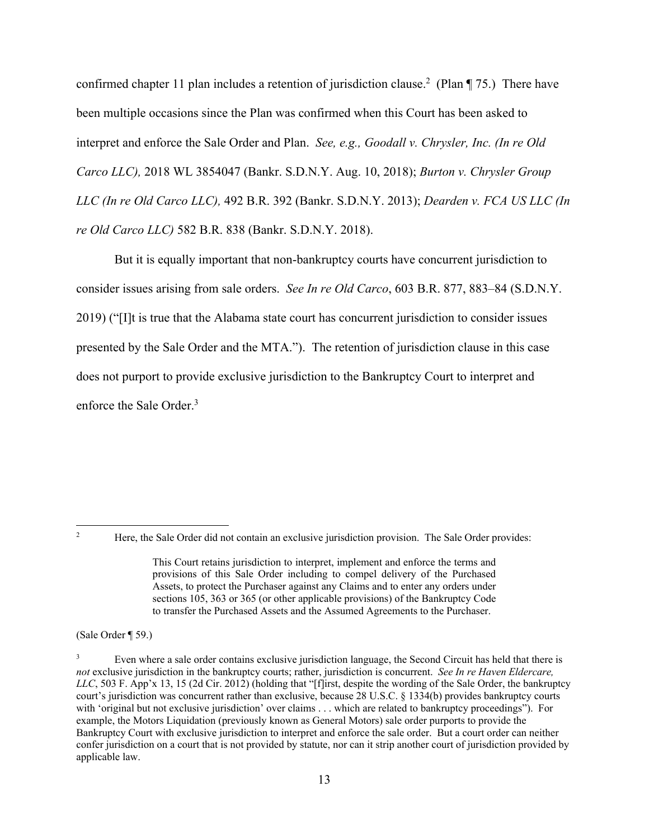confirmed chapter 11 plan includes a retention of jurisdiction clause.<sup>2</sup> (Plan  $\P$  75.) There have been multiple occasions since the Plan was confirmed when this Court has been asked to interpret and enforce the Sale Order and Plan. *See, e.g., Goodall v. Chrysler, Inc. (In re Old Carco LLC),* 2018 WL 3854047 (Bankr. S.D.N.Y. Aug. 10, 2018); *Burton v. Chrysler Group LLC (In re Old Carco LLC),* 492 B.R. 392 (Bankr. S.D.N.Y. 2013); *Dearden v. FCA US LLC (In re Old Carco LLC)* 582 B.R. 838 (Bankr. S.D.N.Y. 2018).

But it is equally important that non-bankruptcy courts have concurrent jurisdiction to consider issues arising from sale orders. *See In re Old Carco*, 603 B.R. 877, 883–84 (S.D.N.Y. 2019) ("[I]t is true that the Alabama state court has concurrent jurisdiction to consider issues presented by the Sale Order and the MTA."). The retention of jurisdiction clause in this case does not purport to provide exclusive jurisdiction to the Bankruptcy Court to interpret and enforce the Sale Order.<sup>3</sup>

 $\overline{2}$ 

(Sale Order ¶ 59.)

Here, the Sale Order did not contain an exclusive jurisdiction provision. The Sale Order provides:

This Court retains jurisdiction to interpret, implement and enforce the terms and provisions of this Sale Order including to compel delivery of the Purchased Assets, to protect the Purchaser against any Claims and to enter any orders under sections 105, 363 or 365 (or other applicable provisions) of the Bankruptcy Code to transfer the Purchased Assets and the Assumed Agreements to the Purchaser.

<sup>3</sup> Even where a sale order contains exclusive jurisdiction language, the Second Circuit has held that there is *not* exclusive jurisdiction in the bankruptcy courts; rather, jurisdiction is concurrent. *See In re Haven Eldercare, LLC*, 503 F. App'x 13, 15 (2d Cir. 2012) (holding that "[f]irst, despite the wording of the Sale Order, the bankruptcy court's jurisdiction was concurrent rather than exclusive, because 28 U.S.C. § 1334(b) provides bankruptcy courts with 'original but not exclusive jurisdiction' over claims . . . which are related to bankruptcy proceedings"). For example, the Motors Liquidation (previously known as General Motors) sale order purports to provide the Bankruptcy Court with exclusive jurisdiction to interpret and enforce the sale order. But a court order can neither confer jurisdiction on a court that is not provided by statute, nor can it strip another court of jurisdiction provided by applicable law.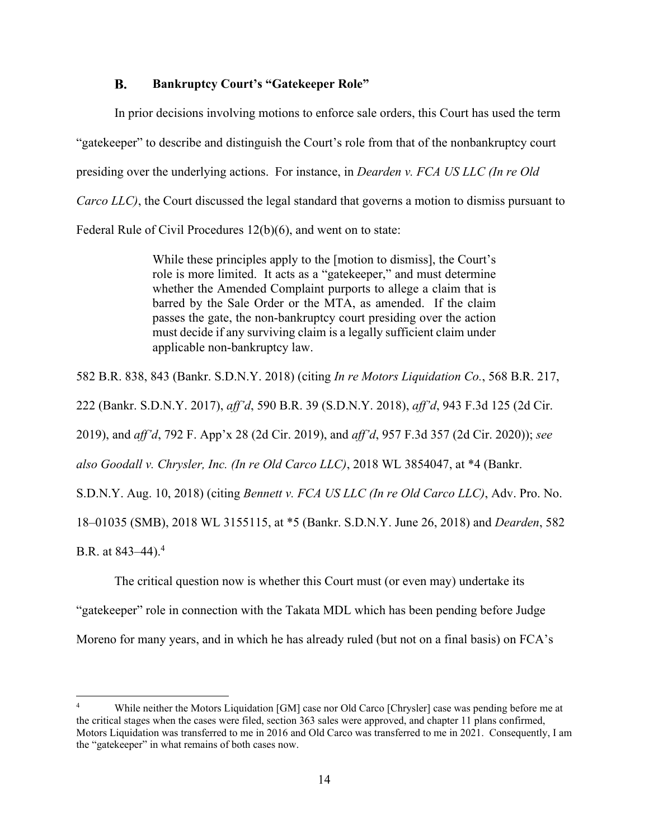#### $\mathbf{R}$ . **Bankruptcy Court's "Gatekeeper Role"**

In prior decisions involving motions to enforce sale orders, this Court has used the term "gatekeeper" to describe and distinguish the Court's role from that of the nonbankruptcy court presiding over the underlying actions. For instance, in *Dearden v. FCA US LLC (In re Old Carco LLC)*, the Court discussed the legal standard that governs a motion to dismiss pursuant to Federal Rule of Civil Procedures 12(b)(6), and went on to state:

> While these principles apply to the [motion to dismiss], the Court's role is more limited. It acts as a "gatekeeper," and must determine whether the Amended Complaint purports to allege a claim that is barred by the Sale Order or the MTA, as amended. If the claim passes the gate, the non-bankruptcy court presiding over the action must decide if any surviving claim is a legally sufficient claim under applicable non-bankruptcy law.

582 B.R. 838, 843 (Bankr. S.D.N.Y. 2018) (citing *In re Motors Liquidation Co.*, 568 B.R. 217,

222 (Bankr. S.D.N.Y. 2017), *aff'd*, 590 B.R. 39 (S.D.N.Y. 2018), *aff'd*, 943 F.3d 125 (2d Cir.

2019), and *aff'd*, 792 F. App'x 28 (2d Cir. 2019), and *aff'd*, 957 F.3d 357 (2d Cir. 2020)); *see* 

*also Goodall v. Chrysler, Inc. (In re Old Carco LLC)*, 2018 WL 3854047, at \*4 (Bankr.

S.D.N.Y. Aug. 10, 2018) (citing *Bennett v. FCA US LLC (In re Old Carco LLC)*, Adv. Pro. No.

18–01035 (SMB), 2018 WL 3155115, at \*5 (Bankr. S.D.N.Y. June 26, 2018) and *Dearden*, 582

B.R. at  $843-44$ ).<sup>4</sup>

The critical question now is whether this Court must (or even may) undertake its

"gatekeeper" role in connection with the Takata MDL which has been pending before Judge

Moreno for many years, and in which he has already ruled (but not on a final basis) on FCA's

<sup>4</sup> While neither the Motors Liquidation [GM] case nor Old Carco [Chrysler] case was pending before me at the critical stages when the cases were filed, section 363 sales were approved, and chapter 11 plans confirmed, Motors Liquidation was transferred to me in 2016 and Old Carco was transferred to me in 2021. Consequently, I am the "gatekeeper" in what remains of both cases now.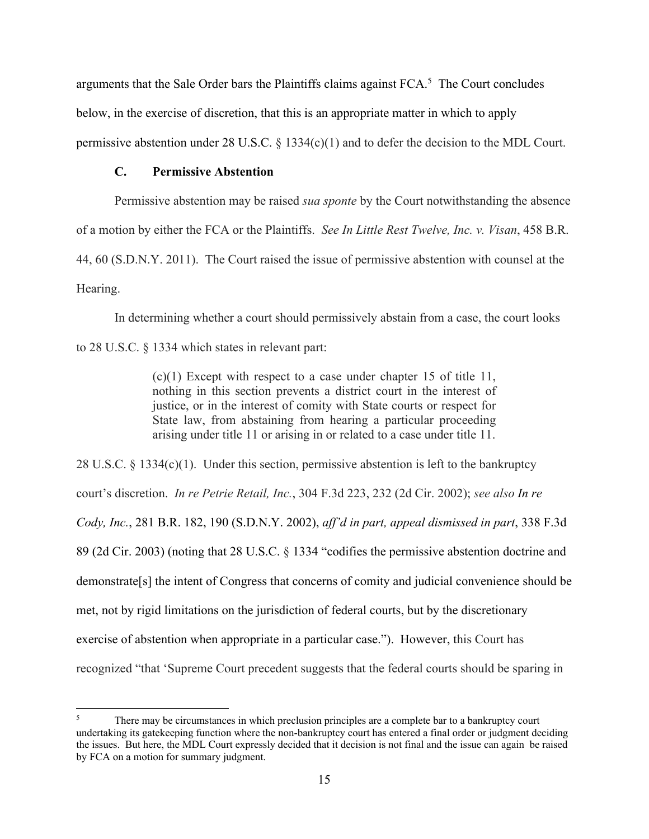arguments that the Sale Order bars the Plaintiffs claims against  $FCA$ <sup>5</sup>. The Court concludes below, in the exercise of discretion, that this is an appropriate matter in which to apply permissive abstention under 28 U.S.C. § 1334(c)(1) and to defer the decision to the MDL Court.

# **C. Permissive Abstention**

Permissive abstention may be raised *sua sponte* by the Court notwithstanding the absence

of a motion by either the FCA or the Plaintiffs. *See In Little Rest Twelve, Inc. v. Visan*, 458 B.R.

44, 60 (S.D.N.Y. 2011). The Court raised the issue of permissive abstention with counsel at the

Hearing.

In determining whether a court should permissively abstain from a case, the court looks

to 28 U.S.C. § 1334 which states in relevant part:

(c)(1) Except with respect to a case under chapter 15 of title 11, nothing in this section prevents a district court in the interest of justice, or in the interest of comity with State courts or respect for State law, from abstaining from hearing a particular proceeding arising under title 11 or arising in or related to a case under title 11.

28 U.S.C.  $\S$  1334(c)(1). Under this section, permissive abstention is left to the bankruptcy court's discretion. *In re Petrie Retail, Inc.*, 304 F.3d 223, 232 (2d Cir. 2002); *see also In re Cody, Inc.*, 281 B.R. 182, 190 (S.D.N.Y. 2002), *aff'd in part, appeal dismissed in part*, 338 F.3d 89 (2d Cir. 2003) (noting that 28 U.S.C. § 1334 "codifies the permissive abstention doctrine and demonstrate[s] the intent of Congress that concerns of comity and judicial convenience should be met, not by rigid limitations on the jurisdiction of federal courts, but by the discretionary exercise of abstention when appropriate in a particular case."). However, this Court has recognized "that 'Supreme Court precedent suggests that the federal courts should be sparing in

<sup>5</sup> There may be circumstances in which preclusion principles are a complete bar to a bankruptcy court undertaking its gatekeeping function where the non-bankruptcy court has entered a final order or judgment deciding the issues. But here, the MDL Court expressly decided that it decision is not final and the issue can again be raised by FCA on a motion for summary judgment.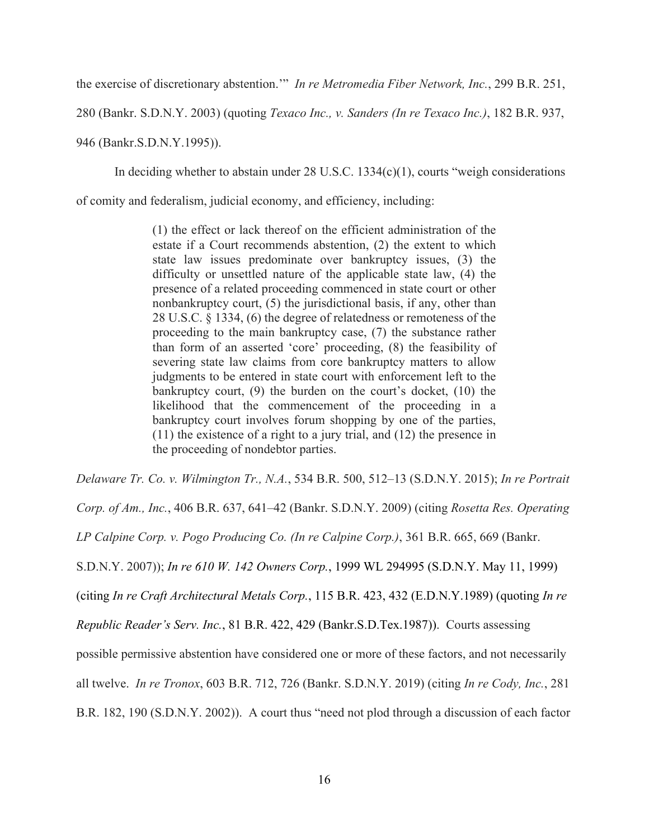the exercise of discretionary abstention.'" *In re Metromedia Fiber Network, Inc.*, 299 B.R. 251,

280 (Bankr. S.D.N.Y. 2003) (quoting *Texaco Inc., v. Sanders (In re Texaco Inc.)*, 182 B.R. 937,

946 (Bankr.S.D.N.Y.1995)).

In deciding whether to abstain under 28 U.S.C. 1334(c)(1), courts "weigh considerations

of comity and federalism, judicial economy, and efficiency, including:

(1) the effect or lack thereof on the efficient administration of the estate if a Court recommends abstention, (2) the extent to which state law issues predominate over bankruptcy issues, (3) the difficulty or unsettled nature of the applicable state law, (4) the presence of a related proceeding commenced in state court or other nonbankruptcy court, (5) the jurisdictional basis, if any, other than 28 U.S.C. § 1334, (6) the degree of relatedness or remoteness of the proceeding to the main bankruptcy case, (7) the substance rather than form of an asserted 'core' proceeding, (8) the feasibility of severing state law claims from core bankruptcy matters to allow judgments to be entered in state court with enforcement left to the bankruptcy court, (9) the burden on the court's docket, (10) the likelihood that the commencement of the proceeding in a bankruptcy court involves forum shopping by one of the parties, (11) the existence of a right to a jury trial, and (12) the presence in the proceeding of nondebtor parties.

*Delaware Tr. Co. v. Wilmington Tr., N.A.*, 534 B.R. 500, 512–13 (S.D.N.Y. 2015); *In re Portrait* 

*Corp. of Am., Inc.*, 406 B.R. 637, 641–42 (Bankr. S.D.N.Y. 2009) (citing *Rosetta Res. Operating* 

*LP Calpine Corp. v. Pogo Producing Co. (In re Calpine Corp.)*, 361 B.R. 665, 669 (Bankr.

S.D.N.Y. 2007)); *In re 610 W. 142 Owners Corp.*, 1999 WL 294995 (S.D.N.Y. May 11, 1999)

(citing *In re Craft Architectural Metals Corp.*, 115 B.R. 423, 432 (E.D.N.Y.1989) (quoting *In re* 

*Republic Reader's Serv. Inc.*, 81 B.R. 422, 429 (Bankr.S.D.Tex.1987)). Courts assessing

possible permissive abstention have considered one or more of these factors, and not necessarily

all twelve. *In re Tronox*, 603 B.R. 712, 726 (Bankr. S.D.N.Y. 2019) (citing *In re Cody, Inc.*, 281

B.R. 182, 190 (S.D.N.Y. 2002)). A court thus "need not plod through a discussion of each factor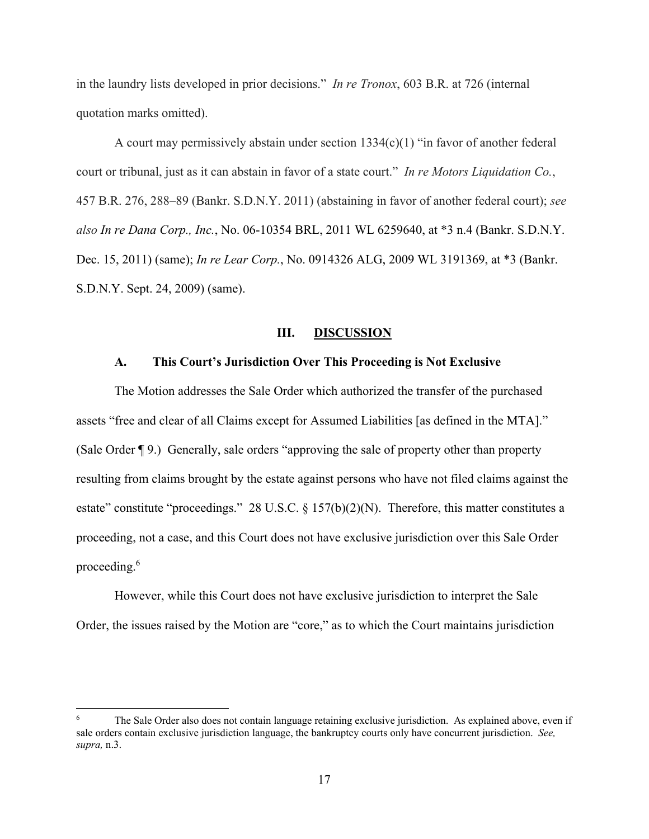in the laundry lists developed in prior decisions." *In re Tronox*, 603 B.R. at 726 (internal quotation marks omitted).

A court may permissively abstain under section  $1334(c)(1)$  "in favor of another federal court or tribunal, just as it can abstain in favor of a state court." *In re Motors Liquidation Co.*, 457 B.R. 276, 288–89 (Bankr. S.D.N.Y. 2011) (abstaining in favor of another federal court); *see also In re Dana Corp., Inc.*, No. 06-10354 BRL, 2011 WL 6259640, at \*3 n.4 (Bankr. S.D.N.Y. Dec. 15, 2011) (same); *In re Lear Corp.*, No. 0914326 ALG, 2009 WL 3191369, at \*3 (Bankr. S.D.N.Y. Sept. 24, 2009) (same).

### **III. DISCUSSION**

#### **A. This Court's Jurisdiction Over This Proceeding is Not Exclusive**

The Motion addresses the Sale Order which authorized the transfer of the purchased assets "free and clear of all Claims except for Assumed Liabilities [as defined in the MTA]." (Sale Order ¶ 9.) Generally, sale orders "approving the sale of property other than property resulting from claims brought by the estate against persons who have not filed claims against the estate" constitute "proceedings." 28 U.S.C. § 157(b)(2)(N). Therefore, this matter constitutes a proceeding, not a case, and this Court does not have exclusive jurisdiction over this Sale Order proceeding.<sup>6</sup>

However, while this Court does not have exclusive jurisdiction to interpret the Sale Order, the issues raised by the Motion are "core," as to which the Court maintains jurisdiction

<sup>6</sup> The Sale Order also does not contain language retaining exclusive jurisdiction. As explained above, even if sale orders contain exclusive jurisdiction language, the bankruptcy courts only have concurrent jurisdiction. *See, supra,* n.3.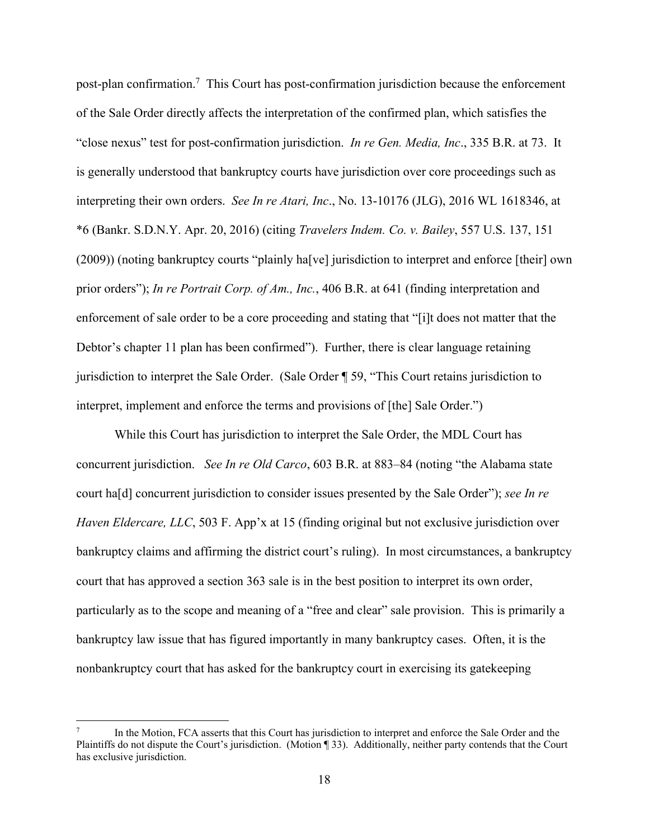post-plan confirmation.<sup>7</sup> This Court has post-confirmation jurisdiction because the enforcement of the Sale Order directly affects the interpretation of the confirmed plan, which satisfies the "close nexus" test for post-confirmation jurisdiction. *In re Gen. Media, Inc*., 335 B.R. at 73. It is generally understood that bankruptcy courts have jurisdiction over core proceedings such as interpreting their own orders. *See In re Atari, Inc*., No. 13-10176 (JLG), 2016 WL 1618346, at \*6 (Bankr. S.D.N.Y. Apr. 20, 2016) (citing *Travelers Indem. Co. v. Bailey*, 557 U.S. 137, 151 (2009)) (noting bankruptcy courts "plainly ha[ve] jurisdiction to interpret and enforce [their] own prior orders"); *In re Portrait Corp. of Am., Inc.*, 406 B.R. at 641 (finding interpretation and enforcement of sale order to be a core proceeding and stating that "[i]t does not matter that the Debtor's chapter 11 plan has been confirmed"). Further, there is clear language retaining jurisdiction to interpret the Sale Order. (Sale Order ¶ 59, "This Court retains jurisdiction to interpret, implement and enforce the terms and provisions of [the] Sale Order.")

While this Court has jurisdiction to interpret the Sale Order, the MDL Court has concurrent jurisdiction. *See In re Old Carco*, 603 B.R. at 883–84 (noting "the Alabama state court ha[d] concurrent jurisdiction to consider issues presented by the Sale Order"); *see In re Haven Eldercare, LLC*, 503 F. App'x at 15 (finding original but not exclusive jurisdiction over bankruptcy claims and affirming the district court's ruling). In most circumstances, a bankruptcy court that has approved a section 363 sale is in the best position to interpret its own order, particularly as to the scope and meaning of a "free and clear" sale provision. This is primarily a bankruptcy law issue that has figured importantly in many bankruptcy cases. Often, it is the nonbankruptcy court that has asked for the bankruptcy court in exercising its gatekeeping

<sup>7</sup> In the Motion, FCA asserts that this Court has jurisdiction to interpret and enforce the Sale Order and the Plaintiffs do not dispute the Court's jurisdiction. (Motion ¶ 33). Additionally, neither party contends that the Court has exclusive jurisdiction.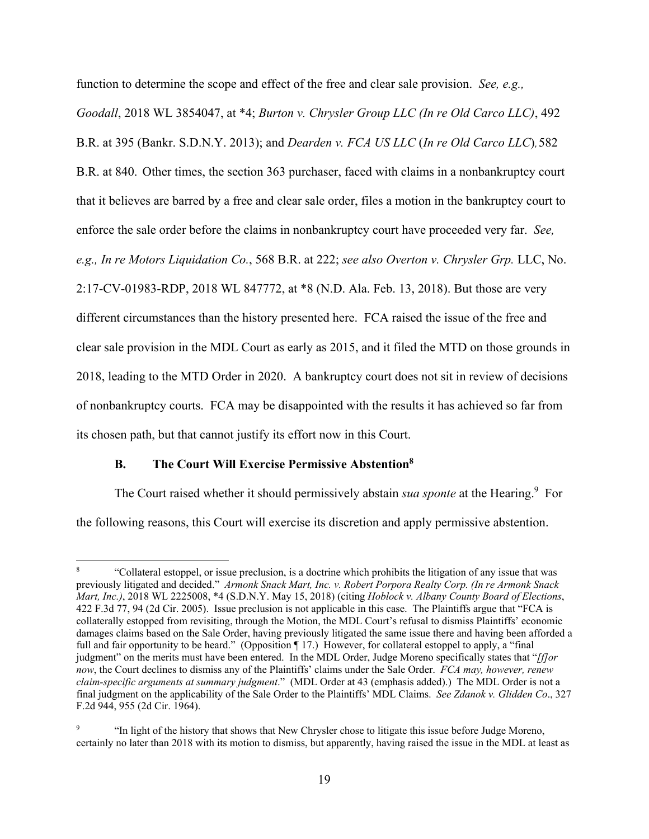function to determine the scope and effect of the free and clear sale provision. *See, e.g., Goodall*, 2018 WL 3854047, at \*4; *Burton v. Chrysler Group LLC (In re Old Carco LLC)*, 492 B.R. at 395 (Bankr. S.D.N.Y. 2013); and *Dearden v. FCA US LLC* (*In re Old Carco LLC*), 582 B.R. at 840. Other times, the section 363 purchaser, faced with claims in a nonbankruptcy court that it believes are barred by a free and clear sale order, files a motion in the bankruptcy court to enforce the sale order before the claims in nonbankruptcy court have proceeded very far. *See, e.g., In re Motors Liquidation Co.*, 568 B.R. at 222; *see also Overton v. Chrysler Grp.* LLC, No. 2:17-CV-01983-RDP, 2018 WL 847772, at \*8 (N.D. Ala. Feb. 13, 2018). But those are very different circumstances than the history presented here. FCA raised the issue of the free and clear sale provision in the MDL Court as early as 2015, and it filed the MTD on those grounds in 2018, leading to the MTD Order in 2020. A bankruptcy court does not sit in review of decisions of nonbankruptcy courts. FCA may be disappointed with the results it has achieved so far from its chosen path, but that cannot justify its effort now in this Court.

### **B. The Court Will Exercise Permissive Abstention8**

The Court raised whether it should permissively abstain *sua sponte* at the Hearing.<sup>9</sup> For the following reasons, this Court will exercise its discretion and apply permissive abstention.

<sup>8</sup> "Collateral estoppel, or issue preclusion, is a doctrine which prohibits the litigation of any issue that was previously litigated and decided." *Armonk Snack Mart, Inc. v. Robert Porpora Realty Corp. (In re Armonk Snack Mart, Inc.)*, 2018 WL 2225008, \*4 (S.D.N.Y. May 15, 2018) (citing *Hoblock v. Albany County Board of Elections*, 422 F.3d 77, 94 (2d Cir. 2005). Issue preclusion is not applicable in this case. The Plaintiffs argue that "FCA is collaterally estopped from revisiting, through the Motion, the MDL Court's refusal to dismiss Plaintiffs' economic damages claims based on the Sale Order, having previously litigated the same issue there and having been afforded a full and fair opportunity to be heard." (Opposition ¶ 17.) However, for collateral estoppel to apply, a "final judgment" on the merits must have been entered. In the MDL Order, Judge Moreno specifically states that "*[f]or now*, the Court declines to dismiss any of the Plaintiffs' claims under the Sale Order. *FCA may, however, renew claim-specific arguments at summary judgment*." (MDL Order at 43 (emphasis added).) The MDL Order is not a final judgment on the applicability of the Sale Order to the Plaintiffs' MDL Claims. *See Zdanok v. Glidden Co*., 327 F.2d 944, 955 (2d Cir. 1964).

<sup>9</sup> "In light of the history that shows that New Chrysler chose to litigate this issue before Judge Moreno, certainly no later than 2018 with its motion to dismiss, but apparently, having raised the issue in the MDL at least as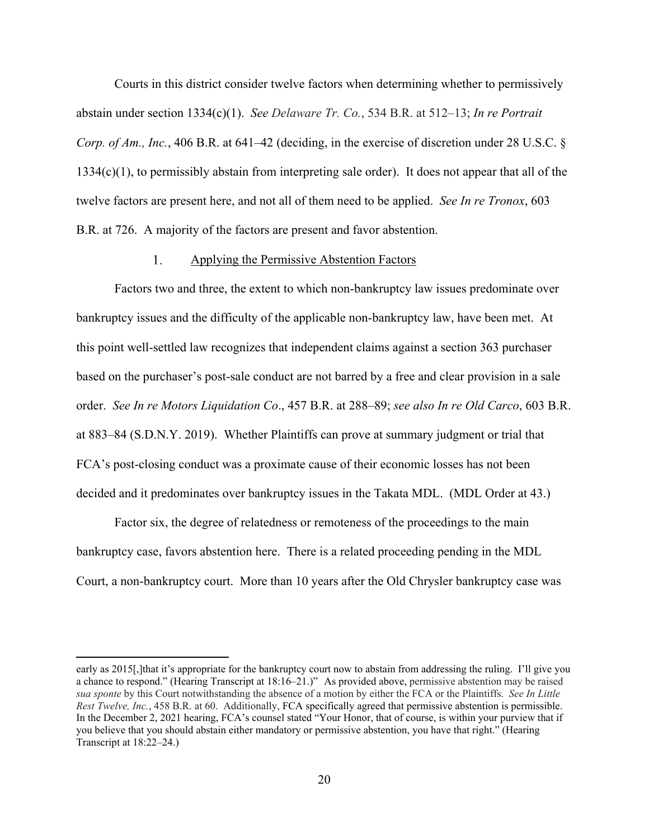Courts in this district consider twelve factors when determining whether to permissively abstain under section 1334(c)(1). *See Delaware Tr. Co.*, 534 B.R. at 512–13; *In re Portrait Corp. of Am., Inc.*, 406 B.R. at 641–42 (deciding, in the exercise of discretion under 28 U.S.C. § 1334(c)(1), to permissibly abstain from interpreting sale order). It does not appear that all of the twelve factors are present here, and not all of them need to be applied. *See In re Tronox*, 603 B.R. at 726. A majority of the factors are present and favor abstention.

#### 1. Applying the Permissive Abstention Factors

Factors two and three, the extent to which non-bankruptcy law issues predominate over bankruptcy issues and the difficulty of the applicable non-bankruptcy law, have been met. At this point well-settled law recognizes that independent claims against a section 363 purchaser based on the purchaser's post-sale conduct are not barred by a free and clear provision in a sale order. *See In re Motors Liquidation Co*., 457 B.R. at 288–89; *see also In re Old Carco*, 603 B.R. at 883–84 (S.D.N.Y. 2019). Whether Plaintiffs can prove at summary judgment or trial that FCA's post-closing conduct was a proximate cause of their economic losses has not been decided and it predominates over bankruptcy issues in the Takata MDL. (MDL Order at 43.)

Factor six, the degree of relatedness or remoteness of the proceedings to the main bankruptcy case, favors abstention here. There is a related proceeding pending in the MDL Court, a non-bankruptcy court. More than 10 years after the Old Chrysler bankruptcy case was

early as 2015[,]that it's appropriate for the bankruptcy court now to abstain from addressing the ruling. I'll give you a chance to respond." (Hearing Transcript at 18:16–21.)" As provided above, permissive abstention may be raised *sua sponte* by this Court notwithstanding the absence of a motion by either the FCA or the Plaintiffs. *See In Little Rest Twelve, Inc.*, 458 B.R. at 60. Additionally, FCA specifically agreed that permissive abstention is permissible. In the December 2, 2021 hearing, FCA's counsel stated "Your Honor, that of course, is within your purview that if you believe that you should abstain either mandatory or permissive abstention, you have that right." (Hearing Transcript at 18:22–24.)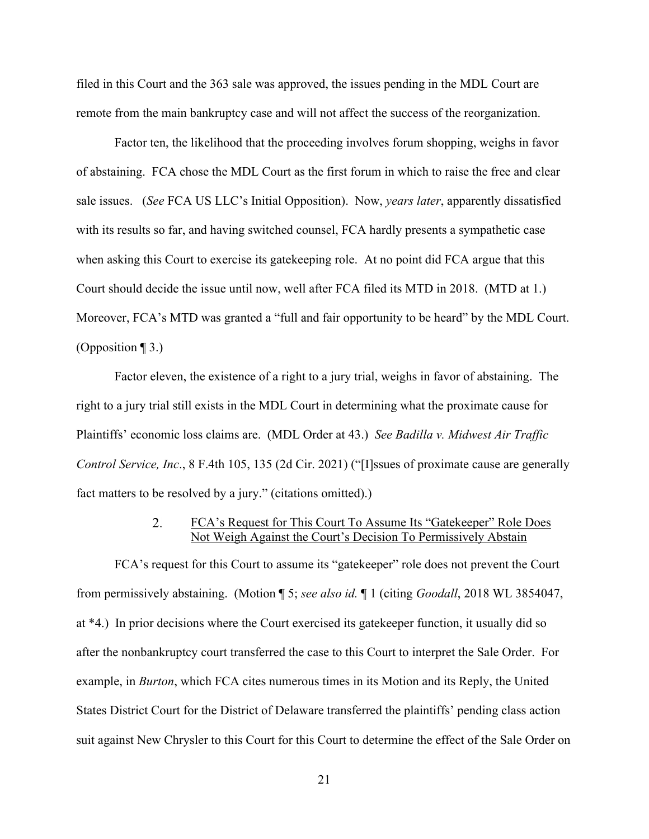filed in this Court and the 363 sale was approved, the issues pending in the MDL Court are remote from the main bankruptcy case and will not affect the success of the reorganization.

Factor ten, the likelihood that the proceeding involves forum shopping, weighs in favor of abstaining. FCA chose the MDL Court as the first forum in which to raise the free and clear sale issues. (*See* FCA US LLC's Initial Opposition). Now, *years later*, apparently dissatisfied with its results so far, and having switched counsel, FCA hardly presents a sympathetic case when asking this Court to exercise its gatekeeping role. At no point did FCA argue that this Court should decide the issue until now, well after FCA filed its MTD in 2018. (MTD at 1.) Moreover, FCA's MTD was granted a "full and fair opportunity to be heard" by the MDL Court. (Opposition ¶ 3.)

Factor eleven, the existence of a right to a jury trial, weighs in favor of abstaining. The right to a jury trial still exists in the MDL Court in determining what the proximate cause for Plaintiffs' economic loss claims are. (MDL Order at 43.) *See Badilla v. Midwest Air Traffic Control Service, Inc*., 8 F.4th 105, 135 (2d Cir. 2021) ("[I]ssues of proximate cause are generally fact matters to be resolved by a jury." (citations omitted).)

#### $2.$ FCA's Request for This Court To Assume Its "Gatekeeper" Role Does Not Weigh Against the Court's Decision To Permissively Abstain

FCA's request for this Court to assume its "gatekeeper" role does not prevent the Court from permissively abstaining. (Motion ¶ 5; *see also id.* ¶ 1 (citing *Goodall*, 2018 WL 3854047, at \*4.) In prior decisions where the Court exercised its gatekeeper function, it usually did so after the nonbankruptcy court transferred the case to this Court to interpret the Sale Order. For example, in *Burton*, which FCA cites numerous times in its Motion and its Reply, the United States District Court for the District of Delaware transferred the plaintiffs' pending class action suit against New Chrysler to this Court for this Court to determine the effect of the Sale Order on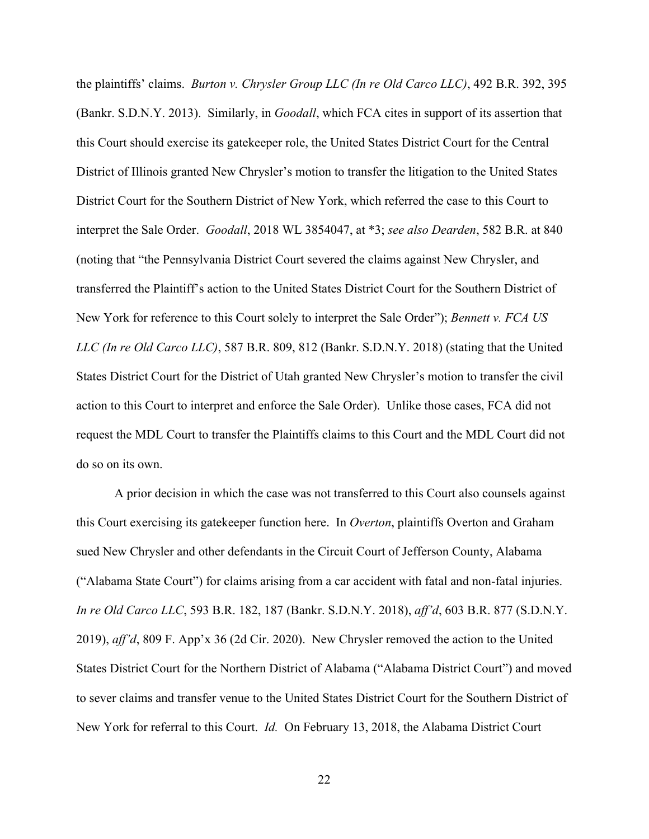the plaintiffs' claims. *Burton v. Chrysler Group LLC (In re Old Carco LLC)*, 492 B.R. 392, 395 (Bankr. S.D.N.Y. 2013). Similarly, in *Goodall*, which FCA cites in support of its assertion that this Court should exercise its gatekeeper role, the United States District Court for the Central District of Illinois granted New Chrysler's motion to transfer the litigation to the United States District Court for the Southern District of New York, which referred the case to this Court to interpret the Sale Order. *Goodall*, 2018 WL 3854047, at \*3; *see also Dearden*, 582 B.R. at 840 (noting that "the Pennsylvania District Court severed the claims against New Chrysler, and transferred the Plaintiff's action to the United States District Court for the Southern District of New York for reference to this Court solely to interpret the Sale Order"); *Bennett v. FCA US LLC (In re Old Carco LLC)*, 587 B.R. 809, 812 (Bankr. S.D.N.Y. 2018) (stating that the United States District Court for the District of Utah granted New Chrysler's motion to transfer the civil action to this Court to interpret and enforce the Sale Order). Unlike those cases, FCA did not request the MDL Court to transfer the Plaintiffs claims to this Court and the MDL Court did not do so on its own.

A prior decision in which the case was not transferred to this Court also counsels against this Court exercising its gatekeeper function here. In *Overton*, plaintiffs Overton and Graham sued New Chrysler and other defendants in the Circuit Court of Jefferson County, Alabama ("Alabama State Court") for claims arising from a car accident with fatal and non-fatal injuries. *In re Old Carco LLC*, 593 B.R. 182, 187 (Bankr. S.D.N.Y. 2018), *aff'd*, 603 B.R. 877 (S.D.N.Y. 2019), *aff'd*, 809 F. App'x 36 (2d Cir. 2020). New Chrysler removed the action to the United States District Court for the Northern District of Alabama ("Alabama District Court") and moved to sever claims and transfer venue to the United States District Court for the Southern District of New York for referral to this Court. *Id.* On February 13, 2018, the Alabama District Court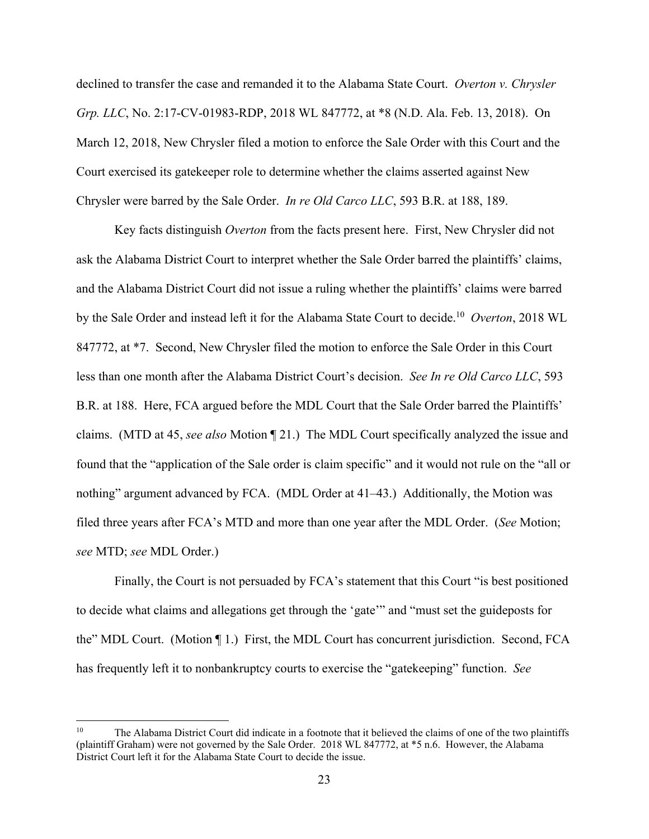declined to transfer the case and remanded it to the Alabama State Court. *Overton v. Chrysler Grp. LLC*, No. 2:17-CV-01983-RDP, 2018 WL 847772, at \*8 (N.D. Ala. Feb. 13, 2018). On March 12, 2018, New Chrysler filed a motion to enforce the Sale Order with this Court and the Court exercised its gatekeeper role to determine whether the claims asserted against New Chrysler were barred by the Sale Order. *In re Old Carco LLC*, 593 B.R. at 188, 189.

Key facts distinguish *Overton* from the facts present here. First, New Chrysler did not ask the Alabama District Court to interpret whether the Sale Order barred the plaintiffs' claims, and the Alabama District Court did not issue a ruling whether the plaintiffs' claims were barred by the Sale Order and instead left it for the Alabama State Court to decide.10 *Overton*, 2018 WL 847772, at \*7. Second, New Chrysler filed the motion to enforce the Sale Order in this Court less than one month after the Alabama District Court's decision. *See In re Old Carco LLC*, 593 B.R. at 188. Here, FCA argued before the MDL Court that the Sale Order barred the Plaintiffs' claims. (MTD at 45, *see also* Motion ¶ 21.) The MDL Court specifically analyzed the issue and found that the "application of the Sale order is claim specific" and it would not rule on the "all or nothing" argument advanced by FCA. (MDL Order at 41–43.) Additionally, the Motion was filed three years after FCA's MTD and more than one year after the MDL Order. (*See* Motion; *see* MTD; *see* MDL Order.)

Finally, the Court is not persuaded by FCA's statement that this Court "is best positioned to decide what claims and allegations get through the 'gate'" and "must set the guideposts for the" MDL Court. (Motion ¶ 1.) First, the MDL Court has concurrent jurisdiction. Second, FCA has frequently left it to nonbankruptcy courts to exercise the "gatekeeping" function. *See*

<sup>&</sup>lt;sup>10</sup> The Alabama District Court did indicate in a footnote that it believed the claims of one of the two plaintiffs (plaintiff Graham) were not governed by the Sale Order. 2018 WL 847772, at \*5 n.6. However, the Alabama District Court left it for the Alabama State Court to decide the issue.